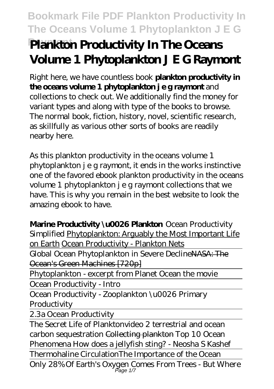# **Raymont Plankton Productivity In The Oceans Volume 1 Phytoplankton J E G Raymont**

Right here, we have countless book **plankton productivity in the oceans volume 1 phytoplankton j e g raymont** and collections to check out. We additionally find the money for variant types and along with type of the books to browse. The normal book, fiction, history, novel, scientific research, as skillfully as various other sorts of books are readily nearby here.

As this plankton productivity in the oceans volume 1 phytoplankton j e g raymont, it ends in the works instinctive one of the favored ebook plankton productivity in the oceans volume 1 phytoplankton j e g raymont collections that we have. This is why you remain in the best website to look the amazing ebook to have.

**Marine Productivity \u0026 Plankton** Ocean Productivity Simplified Phytoplankton: Arguably the Most Important Life on Earth Ocean Productivity - Plankton Nets Global Ocean Phytoplankton in Severe DeclineNASA: The Ocean's Green Machines [720p] Phytoplankton - excerpt from Planet Ocean the movie Ocean Productivity - Intro Ocean Productivity - Zooplankton \u0026 Primary **Productivity** 2.3a Ocean Productivity The Secret Life of Plankton*video 2 terrestrial and ocean carbon sequestration* Collecting plankton Top 10 Ocean Phenomena *How does a jellyfish sting? - Neosha S Kashef* Thermohaline Circulation*The Importance of the Ocean* Only 28% Of Earth's Oxygen Comes From Trees - But Where Page 1/7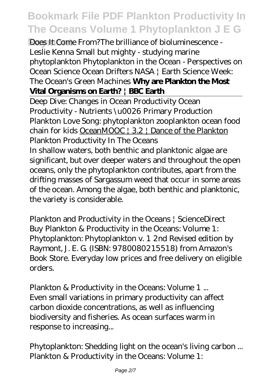**Raymont** Does It Come From?*The brilliance of bioluminescence - Leslie Kenna Small but mighty - studying marine phytoplankton* Phytoplankton in the Ocean - Perspectives on Ocean Science Ocean Drifters NASA | Earth Science Week: The Ocean's Green Machines **Why are Plankton the Most Vital Organisms on Earth? | BBC Earth**

Deep Dive: Changes in Ocean Productivity Ocean Productivity - Nutrients \u0026 Primary Production Plankton Love Song: phytoplankton zooplankton ocean food chain for kids OceanMOOC | 3.2 | Dance of the Plankton *Plankton Productivity In The Oceans*

In shallow waters, both benthic and planktonic algae are significant, but over deeper waters and throughout the open oceans, only the phytoplankton contributes, apart from the drifting masses of Sargassum weed that occur in some areas of the ocean. Among the algae, both benthic and planktonic, the variety is considerable.

*Plankton and Productivity in the Oceans | ScienceDirect* Buy Plankton & Productivity in the Oceans: Volume 1: Phytoplankton: Phytoplankton v. 1 2nd Revised edition by Raymont, J. E. G. (ISBN: 9780080215518) from Amazon's Book Store. Everyday low prices and free delivery on eligible orders.

*Plankton & Productivity in the Oceans: Volume 1 ...* Even small variations in primary productivity can affect carbon dioxide concentrations, as well as influencing biodiversity and fisheries. As ocean surfaces warm in response to increasing...

*Phytoplankton: Shedding light on the ocean's living carbon ...* Plankton & Productivity in the Oceans: Volume 1: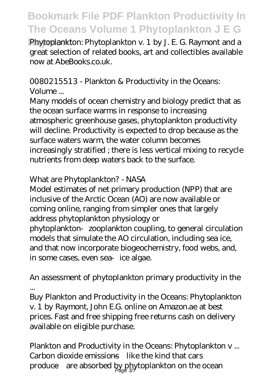**Raymont** Phytoplankton: Phytoplankton v. 1 by J. E. G. Raymont and a great selection of related books, art and collectibles available now at AbeBooks.co.uk.

#### *0080215513 - Plankton & Productivity in the Oceans: Volume ...*

Many models of ocean chemistry and biology predict that as the ocean surface warms in response to increasing atmospheric greenhouse gases, phytoplankton productivity will decline. Productivity is expected to drop because as the surface waters warm, the water column becomes increasingly stratified ; there is less vertical mixing to recycle nutrients from deep waters back to the surface.

#### *What are Phytoplankton? - NASA*

Model estimates of net primary production (NPP) that are inclusive of the Arctic Ocean (AO) are now available or coming online, ranging from simpler ones that largely address phytoplankton physiology or phytoplankton‐zooplankton coupling, to general circulation models that simulate the AO circulation, including sea ice, and that now incorporate biogeochemistry, food webs, and, in some cases, even sea ice algae.

#### *An assessment of phytoplankton primary productivity in the ...*

Buy Plankton and Productivity in the Oceans: Phytoplankton v. 1 by Raymont, John E.G. online on Amazon.ae at best prices. Fast and free shipping free returns cash on delivery available on eligible purchase.

*Plankton and Productivity in the Oceans: Phytoplankton v ...* Carbon dioxide emissions—like the kind that cars produce—are absorbed by phytoplankton on the ocean Page 3/7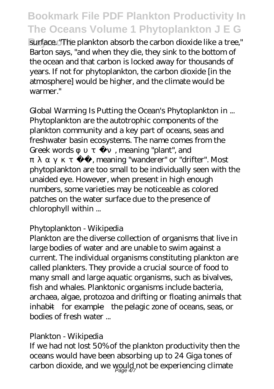surface. "The plankton absorb the carbon dioxide like a tree," Barton says, "and when they die, they sink to the bottom of the ocean and that carbon is locked away for thousands of years. If not for phytoplankton, the carbon dioxide [in the atmosphere] would be higher, and the climate would be warmer."

*Global Warming Is Putting the Ocean's Phytoplankton in ...* Phytoplankton are the autotrophic components of the plankton community and a key part of oceans, seas and freshwater basin ecosystems. The name comes from the Greek words , meaning "plant", and , meaning "wanderer" or "drifter". Most phytoplankton are too small to be individually seen with the unaided eye. However, when present in high enough numbers, some varieties may be noticeable as colored patches on the water surface due to the presence of

#### chlorophyll within ...

#### *Phytoplankton - Wikipedia*

Plankton are the diverse collection of organisms that live in large bodies of water and are unable to swim against a current. The individual organisms constituting plankton are called plankters. They provide a crucial source of food to many small and large aquatic organisms, such as bivalves, fish and whales. Planktonic organisms include bacteria, archaea, algae, protozoa and drifting or floating animals that inhabit—for example—the pelagic zone of oceans, seas, or bodies of fresh water ...

#### *Plankton - Wikipedia*

If we had not lost 50% of the plankton productivity then the oceans would have been absorbing up to 24 Giga tones of carbon dioxide, and we would not be experiencing climate Page 4/7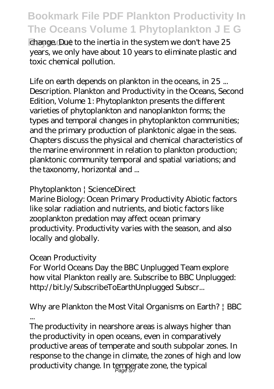change. Due to the inertia in the system we don't have 25 years, we only have about 10 years to eliminate plastic and toxic chemical pollution.

*Life on earth depends on plankton in the oceans, in 25 ...* Description. Plankton and Productivity in the Oceans, Second Edition, Volume 1: Phytoplankton presents the different varieties of phytoplankton and nanoplankton forms; the types and temporal changes in phytoplankton communities; and the primary production of planktonic algae in the seas. Chapters discuss the physical and chemical characteristics of the marine environment in relation to plankton production; planktonic community temporal and spatial variations; and the taxonomy, horizontal and ...

#### *Phytoplankton | ScienceDirect*

Marine Biology: Ocean Primary Productivity Abiotic factors like solar radiation and nutrients, and biotic factors like zooplankton predation may affect ocean primary productivity. Productivity varies with the season, and also locally and globally.

#### *Ocean Productivity*

For World Oceans Day the BBC Unplugged Team explore how vital Plankton really are. Subscribe to BBC Unplugged: http://bit.ly/SubscribeToEarthUnplugged Subscr...

#### *Why are Plankton the Most Vital Organisms on Earth? | BBC ...*

The productivity in nearshore areas is always higher than the productivity in open oceans, even in comparatively productive areas of temperate and south subpolar zones. In response to the change in climate, the zones of high and low productivity change. In temperate zone, the typical Page 5/7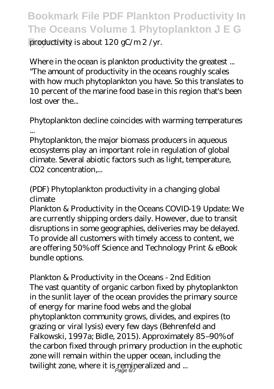productivity is about 120 gC/m 2 /yr.

*Where in the ocean is plankton productivity the greatest ...* "The amount of productivity in the oceans roughly scales with how much phytoplankton you have. So this translates to 10 percent of the marine food base in this region that's been lost over the...

#### *Phytoplankton decline coincides with warming temperatures ...*

Phytoplankton, the major biomass producers in aqueous ecosystems play an important role in regulation of global climate. Several abiotic factors such as light, temperature, CO<sub>2</sub> concentration....

#### *(PDF) Phytoplankton productivity in a changing global climate*

Plankton & Productivity in the Oceans COVID-19 Update: We are currently shipping orders daily. However, due to transit disruptions in some geographies, deliveries may be delayed. To provide all customers with timely access to content, we are offering 50% off Science and Technology Print & eBook bundle options.

*Plankton & Productivity in the Oceans - 2nd Edition* The vast quantity of organic carbon fixed by phytoplankton in the sunlit layer of the ocean provides the primary source of energy for marine food webs and the global

phytoplankton community grows, divides, and expires (to grazing or viral lysis) every few days (Behrenfeld and Falkowski, 1997a; Bidle, 2015). Approximately 85–90% of the carbon fixed through primary production in the euphotic zone will remain within the upper ocean, including the twilight zone, where it is remineralized and ...